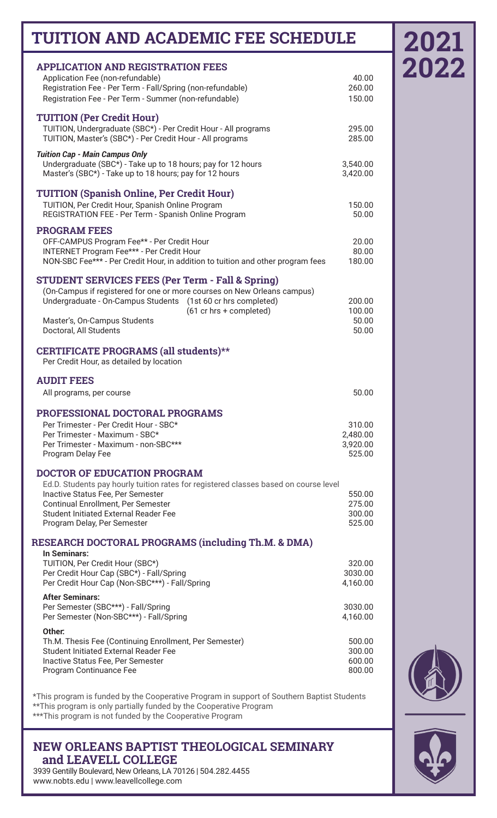## **TUITION AND ACADEMIC FEE SCHEDULE**

| <b>APPLICATION AND REGISTRATION FEES</b>                                             |                  |
|--------------------------------------------------------------------------------------|------------------|
| Application Fee (non-refundable)                                                     | 40.00            |
| Registration Fee - Per Term - Fall/Spring (non-refundable)                           | 260.00           |
| Registration Fee - Per Term - Summer (non-refundable)                                | 150.00           |
|                                                                                      |                  |
| <b>TUITION (Per Credit Hour)</b>                                                     |                  |
| TUITION, Undergraduate (SBC*) - Per Credit Hour - All programs                       | 295.00           |
| TUITION, Master's (SBC*) - Per Credit Hour - All programs                            | 285.00           |
|                                                                                      |                  |
| <b>Tuition Cap - Main Campus Only</b>                                                |                  |
| Undergraduate (SBC*) - Take up to 18 hours; pay for 12 hours                         | 3,540.00         |
| Master's (SBC*) - Take up to 18 hours; pay for 12 hours                              | 3,420.00         |
|                                                                                      |                  |
| <b>TUITION (Spanish Online, Per Credit Hour)</b>                                     |                  |
| TUITION, Per Credit Hour, Spanish Online Program                                     | 150.00           |
| REGISTRATION FEE - Per Term - Spanish Online Program                                 | 50.00            |
|                                                                                      |                  |
| <b>PROGRAM FEES</b>                                                                  |                  |
| OFF-CAMPUS Program Fee** - Per Credit Hour                                           | 20.00            |
| INTERNET Program Fee*** - Per Credit Hour                                            | 80.00            |
| NON-SBC Fee*** - Per Credit Hour, in addition to tuition and other program fees      | 180.00           |
|                                                                                      |                  |
| <b>STUDENT SERVICES FEES (Per Term - Fall &amp; Spring)</b>                          |                  |
| (On-Campus if registered for one or more courses on New Orleans campus)              |                  |
| Undergraduate - On-Campus Students<br>(1st 60 cr hrs completed)                      | 200.00           |
| (61 cr hrs + completed)                                                              | 100.00           |
| Master's, On-Campus Students                                                         | 50.00            |
| Doctoral, All Students                                                               | 50.00            |
|                                                                                      |                  |
| CERTIFICATE PROGRAMS (all students)**                                                |                  |
| Per Credit Hour, as detailed by location                                             |                  |
|                                                                                      |                  |
|                                                                                      |                  |
| <b>AUDIT FEES</b>                                                                    |                  |
|                                                                                      |                  |
| All programs, per course                                                             | 50.00            |
|                                                                                      |                  |
| PROFESSIONAL DOCTORAL PROGRAMS                                                       |                  |
| Per Trimester - Per Credit Hour - SBC*                                               | 310.00           |
| Per Trimester - Maximum - SBC*                                                       | 2,480.00         |
| Per Trimester - Maximum - non-SBC***                                                 | 3,920.00         |
| Program Delay Fee                                                                    | 525.00           |
|                                                                                      |                  |
| <b>DOCTOR OF EDUCATION PROGRAM</b>                                                   |                  |
| Ed.D. Students pay hourly tuition rates for registered classes based on course level |                  |
| Inactive Status Fee, Per Semester                                                    | 550.00           |
| Continual Enrollment, Per Semester                                                   | 275.00           |
| <b>Student Initiated External Reader Fee</b>                                         | 300.00           |
| Program Delay, Per Semester                                                          | 525.00           |
|                                                                                      |                  |
| RESEARCH DOCTORAL PROGRAMS (including Th.M. & DMA)                                   |                  |
| In Seminars:                                                                         |                  |
| TUITION, Per Credit Hour (SBC*)                                                      | 320.00           |
| Per Credit Hour Cap (SBC*) - Fall/Spring                                             | 3030.00          |
| Per Credit Hour Cap (Non-SBC***) - Fall/Spring                                       | 4,160.00         |
| <b>After Seminars:</b>                                                               |                  |
|                                                                                      | 3030.00          |
| Per Semester (SBC***) - Fall/Spring<br>Per Semester (Non-SBC***) - Fall/Spring       | 4,160.00         |
|                                                                                      |                  |
| Other:                                                                               |                  |
| Th.M. Thesis Fee (Continuing Enrollment, Per Semester)                               | 500.00           |
| <b>Student Initiated External Reader Fee</b>                                         | 300.00           |
| Inactive Status Fee, Per Semester<br>Program Continuance Fee                         | 600.00<br>800.00 |

\*This program is funded by the Cooperative Program in support of Southern Baptist Students \*\*This program is only partially funded by the Cooperative Program \*\*\*This program is not funded by the Cooperative Program

**NEW ORLEANS BAPTIST THEOLOGICAL SEMINARY and LEAVELL COLLEGE**

3939 Gentilly Boulevard, New Orleans, LA 70126 | 504.282.4455 www.nobts.edu | www.leavellcollege.com

## **2021 2022**